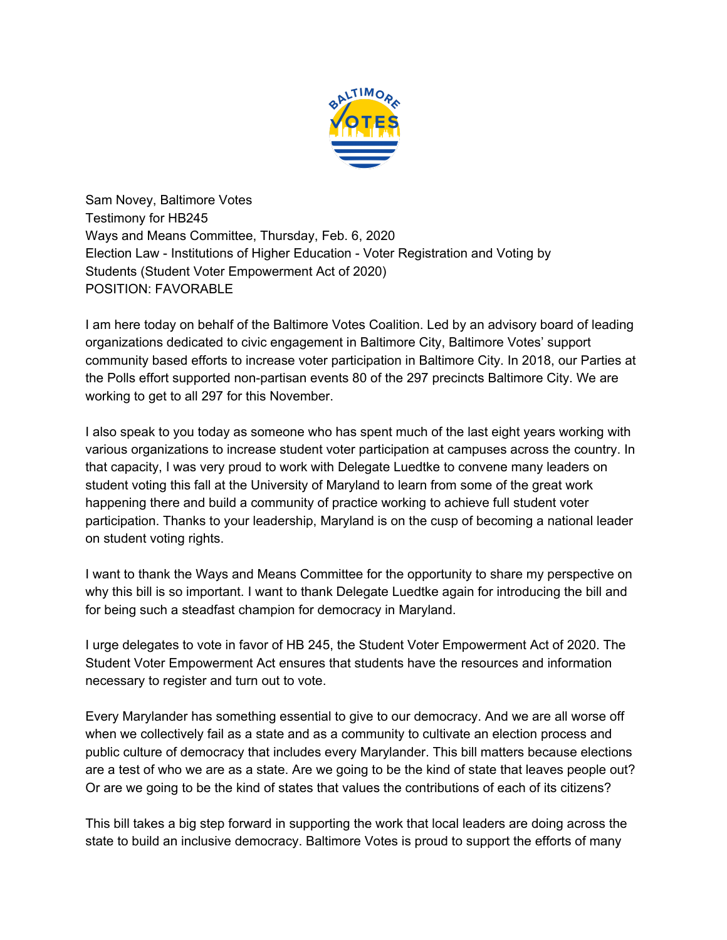

Sam Novey, Baltimore Votes Testimony for HB245 Ways and Means Committee, Thursday, Feb. 6, 2020 Election Law - Institutions of Higher Education - Voter Registration and Voting by Students (Student Voter Empowerment Act of 2020) POSITION: FAVORABLE

I am here today on behalf of the Baltimore Votes Coalition. Led by an advisory board of leading organizations dedicated to civic engagement in Baltimore City, Baltimore Votes' support community based efforts to increase voter participation in Baltimore City. In 2018, our Parties at the Polls effort supported non-partisan events 80 of the 297 precincts Baltimore City. We are working to get to all 297 for this November.

I also speak to you today as someone who has spent much of the last eight years working with various organizations to increase student voter participation at campuses across the country. In that capacity, I was very proud to work with Delegate Luedtke to convene many leaders on student voting this fall at the University of Maryland to learn from some of the great work happening there and build a community of practice working to achieve full student voter participation. Thanks to your leadership, Maryland is on the cusp of becoming a national leader on student voting rights.

I want to thank the Ways and Means Committee for the opportunity to share my perspective on why this bill is so important. I want to thank Delegate Luedtke again for introducing the bill and for being such a steadfast champion for democracy in Maryland.

I urge delegates to vote in favor of HB 245, the Student Voter Empowerment Act of 2020. The Student Voter Empowerment Act ensures that students have the resources and information necessary to register and turn out to vote.

Every Marylander has something essential to give to our democracy. And we are all worse off when we collectively fail as a state and as a community to cultivate an election process and public culture of democracy that includes every Marylander. This bill matters because elections are a test of who we are as a state. Are we going to be the kind of state that leaves people out? Or are we going to be the kind of states that values the contributions of each of its citizens?

This bill takes a big step forward in supporting the work that local leaders are doing across the state to build an inclusive democracy. Baltimore Votes is proud to support the efforts of many